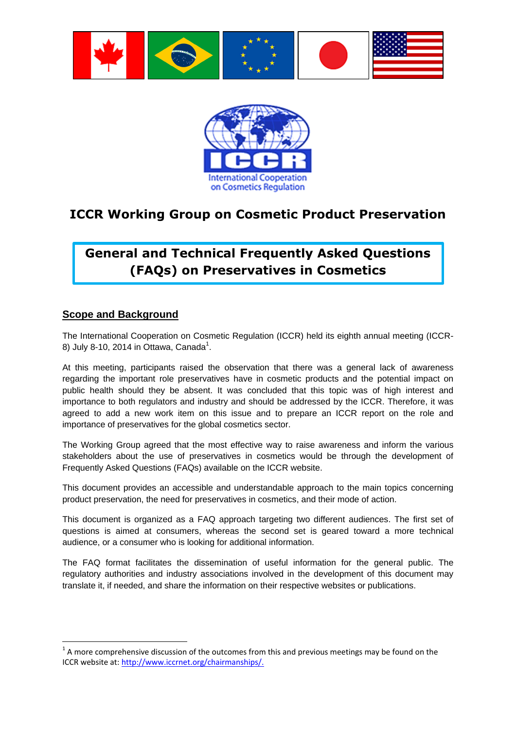



# **ICCR Working Group on Cosmetic Product Preservation**

# **General and Technical Frequently Asked Questions (FAQs) on Preservatives in Cosmetics**

#### **Scope and Background**

 $\overline{a}$ 

The International Cooperation on Cosmetic Regulation (ICCR) held its eighth annual meeting (ICCR-8) July 8-10, 2014 in Ottawa, Canada<sup>1</sup>.

At this meeting, participants raised the observation that there was a general lack of awareness regarding the important role preservatives have in cosmetic products and the potential impact on public health should they be absent. It was concluded that this topic was of high interest and importance to both regulators and industry and should be addressed by the ICCR. Therefore, it was agreed to add a new work item on this issue and to prepare an ICCR report on the role and importance of preservatives for the global cosmetics sector.

The Working Group agreed that the most effective way to raise awareness and inform the various stakeholders about the use of preservatives in cosmetics would be through the development of Frequently Asked Questions (FAQs) available on the ICCR website.

This document provides an accessible and understandable approach to the main topics concerning product preservation, the need for preservatives in cosmetics, and their mode of action.

This document is organized as a FAQ approach targeting two different audiences. The first set of questions is aimed at consumers, whereas the second set is geared toward a more technical audience, or a consumer who is looking for additional information.

The FAQ format facilitates the dissemination of useful information for the general public. The regulatory authorities and industry associations involved in the development of this document may translate it, if needed, and share the information on their respective websites or publications.

 $1$  A more comprehensive discussion of the outcomes from this and previous meetings may be found on the ICCR website at: [http://www.iccrnet.org/chairmanships/.](http://www.iccrnet.org/chairmanships/)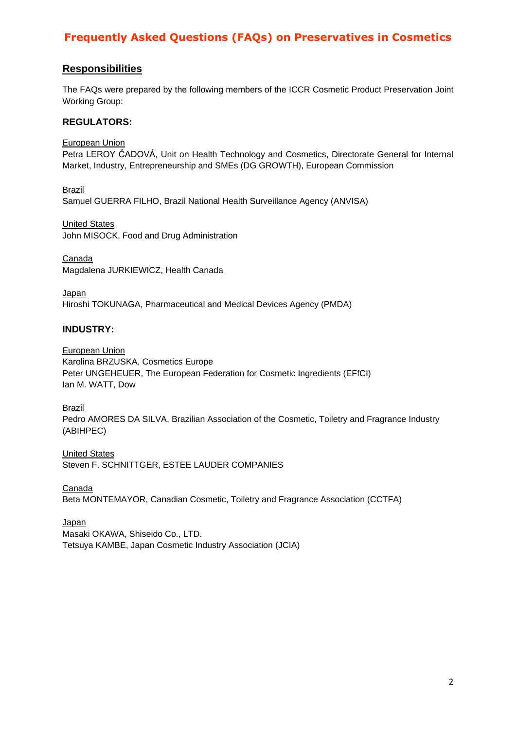#### **Responsibilities**

The FAQs were prepared by the following members of the ICCR Cosmetic Product Preservation Joint Working Group:

#### **REGULATORS:**

European Union Petra LEROY ČADOVÁ, Unit on Health Technology and Cosmetics, Directorate General for Internal Market, Industry, Entrepreneurship and SMEs (DG GROWTH), European Commission

Brazil Samuel GUERRA FILHO, Brazil National Health Surveillance Agency (ANVISA)

United States John MISOCK, Food and Drug Administration

Canada Magdalena JURKIEWICZ, Health Canada

Japan Hiroshi TOKUNAGA, Pharmaceutical and Medical Devices Agency (PMDA)

#### **INDUSTRY:**

European Union Karolina BRZUSKA, Cosmetics Europe Peter UNGEHEUER, The European Federation for Cosmetic Ingredients (EFfCI) Ian M. WATT, Dow

Brazil

Pedro AMORES DA SILVA, Brazilian Association of the Cosmetic, Toiletry and Fragrance Industry (ABIHPEC)

United States Steven F. SCHNITTGER, ESTEE LAUDER COMPANIES

Canada Beta MONTEMAYOR, Canadian Cosmetic, Toiletry and Fragrance Association (CCTFA)

Japan Masaki OKAWA, Shiseido Co., LTD. Tetsuya KAMBE, Japan Cosmetic Industry Association (JCIA)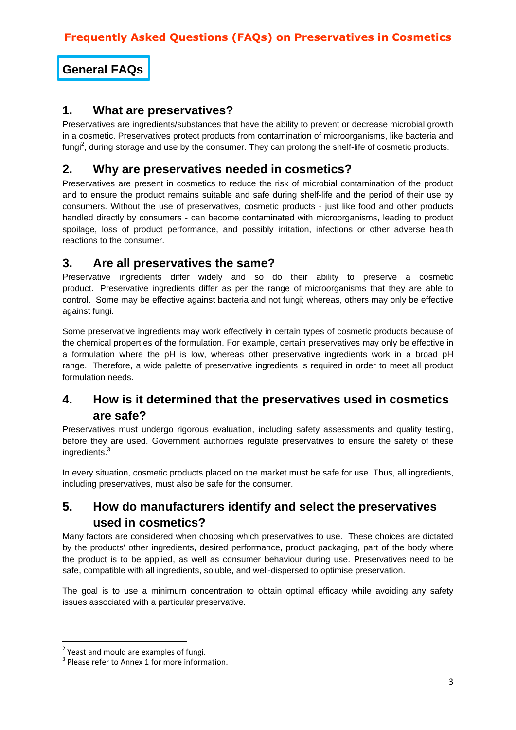**General FAQs**

#### **1. What are preservatives?**

Preservatives are ingredients/substances that have the ability to prevent or decrease microbial growth in a cosmetic. Preservatives protect products from contamination of microorganisms, like bacteria and fungi<sup>2</sup>, during storage and use by the consumer. They can prolong the shelf-life of cosmetic products.

## **2. Why are preservatives needed in cosmetics?**

Preservatives are present in cosmetics to reduce the risk of microbial contamination of the product and to ensure the product remains suitable and safe during shelf-life and the period of their use by consumers. Without the use of preservatives, cosmetic products - just like food and other products handled directly by consumers - can become contaminated with microorganisms, leading to product spoilage, loss of product performance, and possibly irritation, infections or other adverse health reactions to the consumer.

# **3. Are all preservatives the same?**

Preservative ingredients differ widely and so do their ability to preserve a cosmetic product. Preservative ingredients differ as per the range of microorganisms that they are able to control. Some may be effective against bacteria and not fungi; whereas, others may only be effective against fungi.

Some preservative ingredients may work effectively in certain types of cosmetic products because of the chemical properties of the formulation. For example, certain preservatives may only be effective in a formulation where the pH is low, whereas other preservative ingredients work in a broad pH range. Therefore, a wide palette of preservative ingredients is required in order to meet all product formulation needs.

# **4. How is it determined that the preservatives used in cosmetics are safe?**

Preservatives must undergo rigorous evaluation, including safety assessments and quality testing, before they are used. Government authorities regulate preservatives to ensure the safety of these ingredients.<sup>3</sup>

In every situation, cosmetic products placed on the market must be safe for use. Thus, all ingredients, including preservatives, must also be safe for the consumer.

# **5. How do manufacturers identify and select the preservatives used in cosmetics?**

Many factors are considered when choosing which preservatives to use. These choices are dictated by the products' other ingredients, desired performance, product packaging, part of the body where the product is to be applied, as well as consumer behaviour during use. Preservatives need to be safe, compatible with all ingredients, soluble, and well-dispersed to optimise preservation.

The goal is to use a minimum concentration to obtain optimal efficacy while avoiding any safety issues associated with a particular preservative.

**The sum of the set of the set of the set of fungi.**<br>The stand mould are examples of fungi.

 $3$  Please refer to Annex 1 for more information.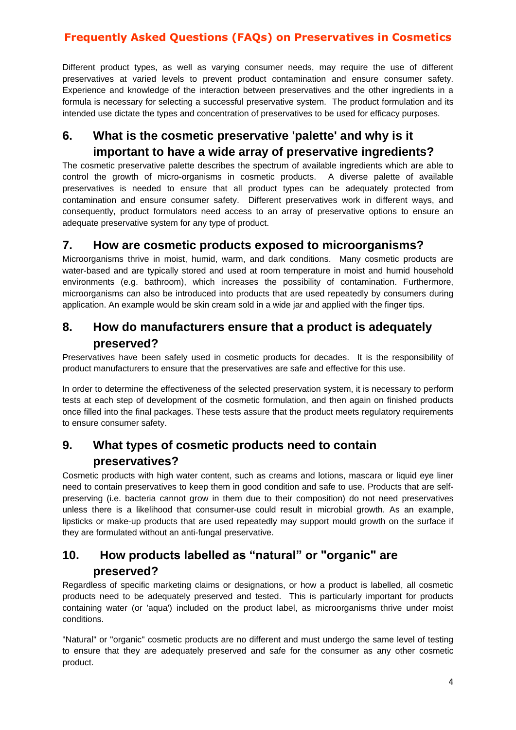Different product types, as well as varying consumer needs, may require the use of different preservatives at varied levels to prevent product contamination and ensure consumer safety. Experience and knowledge of the interaction between preservatives and the other ingredients in a formula is necessary for selecting a successful preservative system. The product formulation and its intended use dictate the types and concentration of preservatives to be used for efficacy purposes.

# **6. What is the cosmetic preservative 'palette' and why is it important to have a wide array of preservative ingredients?**

The cosmetic preservative palette describes the spectrum of available ingredients which are able to control the growth of micro-organisms in cosmetic products. A diverse palette of available preservatives is needed to ensure that all product types can be adequately protected from contamination and ensure consumer safety. Different preservatives work in different ways, and consequently, product formulators need access to an array of preservative options to ensure an adequate preservative system for any type of product.

#### **7. How are cosmetic products exposed to microorganisms?**

Microorganisms thrive in moist, humid, warm, and dark conditions. Many cosmetic products are water-based and are typically stored and used at room temperature in moist and humid household environments (e.g. bathroom), which increases the possibility of contamination. Furthermore, microorganisms can also be introduced into products that are used repeatedly by consumers during application. An example would be skin cream sold in a wide jar and applied with the finger tips.

### **8. How do manufacturers ensure that a product is adequately preserved?**

Preservatives have been safely used in cosmetic products for decades. It is the responsibility of product manufacturers to ensure that the preservatives are safe and effective for this use.

In order to determine the effectiveness of the selected preservation system, it is necessary to perform tests at each step of development of the cosmetic formulation, and then again on finished products once filled into the final packages. These tests assure that the product meets regulatory requirements to ensure consumer safety.

## **9. What types of cosmetic products need to contain preservatives?**

Cosmetic products with high water content, such as creams and lotions, mascara or liquid eye liner need to contain preservatives to keep them in good condition and safe to use. Products that are selfpreserving (i.e. bacteria cannot grow in them due to their composition) do not need preservatives unless there is a likelihood that consumer-use could result in microbial growth. As an example, lipsticks or make-up products that are used repeatedly may support mould growth on the surface if they are formulated without an anti-fungal preservative.

# **10. How products labelled as "natural" or "organic" are preserved?**

Regardless of specific marketing claims or designations, or how a product is labelled, all cosmetic products need to be adequately preserved and tested. This is particularly important for products containing water (or 'aqua') included on the product label, as microorganisms thrive under moist conditions.

"Natural" or "organic" cosmetic products are no different and must undergo the same level of testing to ensure that they are adequately preserved and safe for the consumer as any other cosmetic product.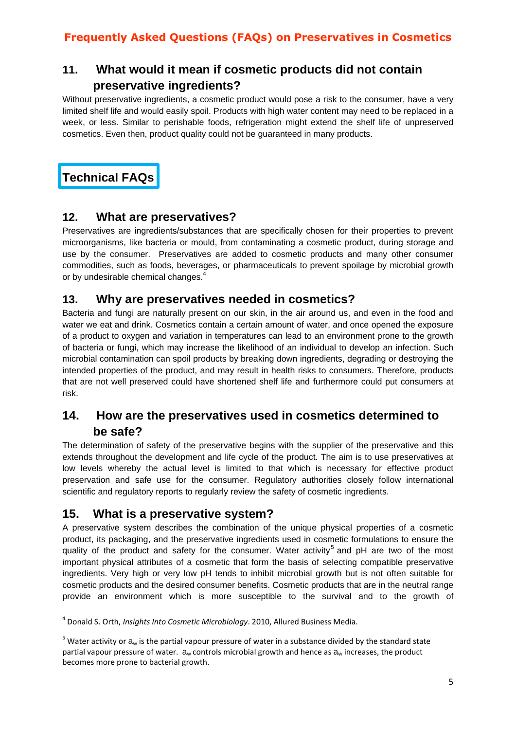# **11. What would it mean if cosmetic products did not contain preservative ingredients?**

Without preservative ingredients, a cosmetic product would pose a risk to the consumer, have a very limited shelf life and would easily spoil. Products with high water content may need to be replaced in a week, or less. Similar to perishable foods, refrigeration might extend the shelf life of unpreserved cosmetics. Even then, product quality could not be guaranteed in many products.

# **Technical FAQs**

#### **12. What are preservatives?**

Preservatives are ingredients/substances that are specifically chosen for their properties to prevent microorganisms, like bacteria or mould, from contaminating a cosmetic product, during storage and use by the consumer. Preservatives are added to cosmetic products and many other consumer commodities, such as foods, beverages, or pharmaceuticals to prevent spoilage by microbial growth or by undesirable chemical changes.<sup>4</sup>

#### **13. Why are preservatives needed in cosmetics?**

Bacteria and fungi are naturally present on our skin, in the air around us, and even in the food and water we eat and drink. Cosmetics contain a certain amount of water, and once opened the exposure of a product to oxygen and variation in temperatures can lead to an environment prone to the growth of bacteria or fungi, which may increase the likelihood of an individual to develop an infection. Such microbial contamination can spoil products by breaking down ingredients, degrading or destroying the intended properties of the product, and may result in health risks to consumers. Therefore, products that are not well preserved could have shortened shelf life and furthermore could put consumers at risk.

## **14. How are the preservatives used in cosmetics determined to be safe?**

The determination of safety of the preservative begins with the supplier of the preservative and this extends throughout the development and life cycle of the product. The aim is to use preservatives at low levels whereby the actual level is limited to that which is necessary for effective product preservation and safe use for the consumer. Regulatory authorities closely follow international scientific and regulatory reports to regularly review the safety of cosmetic ingredients.

## **15. What is a preservative system?**

A preservative system describes the combination of the unique physical properties of a cosmetic product, its packaging, and the preservative ingredients used in cosmetic formulations to ensure the quality of the product and safety for the consumer. Water activity<sup>5</sup> and pH are two of the most important physical attributes of a cosmetic that form the basis of selecting compatible preservative ingredients. Very high or very low pH tends to inhibit microbial growth but is not often suitable for cosmetic products and the desired consumer benefits. Cosmetic products that are in the neutral range provide an environment which is more susceptible to the survival and to the growth of

**<sup>.</sup>** 4 Donald S. Orth, *Insights Into Cosmetic Microbiology*. 2010, Allured Business Media.

 $5$  Water activity or  $a_w$  is the partial vapour pressure of water in a substance divided by the standard state partial vapour pressure of water.  $a_w$  controls microbial growth and hence as  $a_w$  increases, the product becomes more prone to bacterial growth.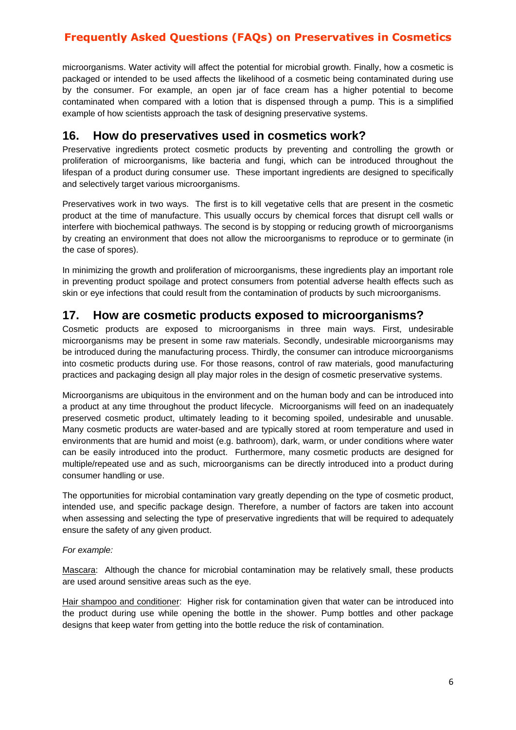microorganisms. Water activity will affect the potential for microbial growth. Finally, how a cosmetic is packaged or intended to be used affects the likelihood of a cosmetic being contaminated during use by the consumer. For example, an open jar of face cream has a higher potential to become contaminated when compared with a lotion that is dispensed through a pump. This is a simplified example of how scientists approach the task of designing preservative systems.

#### **16. How do preservatives used in cosmetics work?**

Preservative ingredients protect cosmetic products by preventing and controlling the growth or proliferation of microorganisms, like bacteria and fungi, which can be introduced throughout the lifespan of a product during consumer use. These important ingredients are designed to specifically and selectively target various microorganisms.

Preservatives work in two ways. The first is to kill vegetative cells that are present in the cosmetic product at the time of manufacture. This usually occurs by chemical forces that disrupt cell walls or interfere with biochemical pathways. The second is by stopping or reducing growth of microorganisms by creating an environment that does not allow the microorganisms to reproduce or to germinate (in the case of spores).

In minimizing the growth and proliferation of microorganisms, these ingredients play an important role in preventing product spoilage and protect consumers from potential adverse health effects such as skin or eye infections that could result from the contamination of products by such microorganisms.

#### **17. How are cosmetic products exposed to microorganisms?**

Cosmetic products are exposed to microorganisms in three main ways. First, undesirable microorganisms may be present in some raw materials. Secondly, undesirable microorganisms may be introduced during the manufacturing process. Thirdly, the consumer can introduce microorganisms into cosmetic products during use. For those reasons, control of raw materials, good manufacturing practices and packaging design all play major roles in the design of cosmetic preservative systems.

Microorganisms are ubiquitous in the environment and on the human body and can be introduced into a product at any time throughout the product lifecycle. Microorganisms will feed on an inadequately preserved cosmetic product, ultimately leading to it becoming spoiled, undesirable and unusable. Many cosmetic products are water-based and are typically stored at room temperature and used in environments that are humid and moist (e.g. bathroom), dark, warm, or under conditions where water can be easily introduced into the product. Furthermore, many cosmetic products are designed for multiple/repeated use and as such, microorganisms can be directly introduced into a product during consumer handling or use.

The opportunities for microbial contamination vary greatly depending on the type of cosmetic product, intended use, and specific package design. Therefore, a number of factors are taken into account when assessing and selecting the type of preservative ingredients that will be required to adequately ensure the safety of any given product.

#### *For example:*

Mascara: Although the chance for microbial contamination may be relatively small, these products are used around sensitive areas such as the eye.

Hair shampoo and conditioner: Higher risk for contamination given that water can be introduced into the product during use while opening the bottle in the shower. Pump bottles and other package designs that keep water from getting into the bottle reduce the risk of contamination.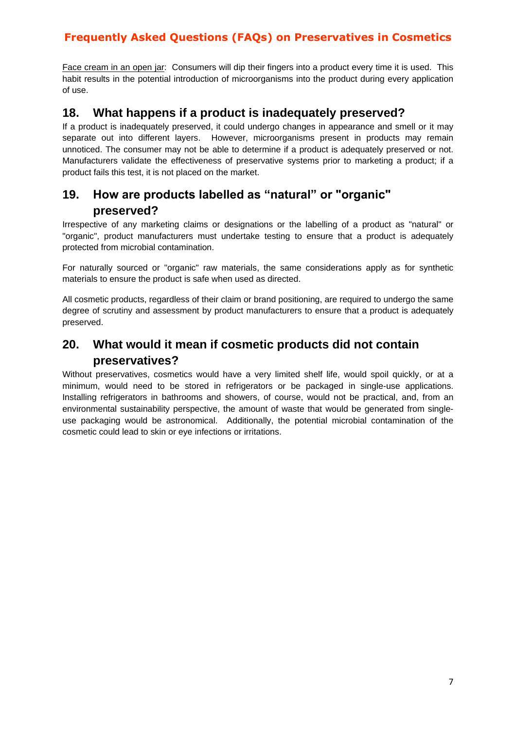Face cream in an open jar: Consumers will dip their fingers into a product every time it is used. This habit results in the potential introduction of microorganisms into the product during every application of use.

#### **18. What happens if a product is inadequately preserved?**

If a product is inadequately preserved, it could undergo changes in appearance and smell or it may separate out into different layers. However, microorganisms present in products may remain unnoticed. The consumer may not be able to determine if a product is adequately preserved or not. Manufacturers validate the effectiveness of preservative systems prior to marketing a product; if a product fails this test, it is not placed on the market.

# **19. How are products labelled as "natural" or "organic" preserved?**

Irrespective of any marketing claims or designations or the labelling of a product as "natural" or "organic", product manufacturers must undertake testing to ensure that a product is adequately protected from microbial contamination.

For naturally sourced or "organic" raw materials, the same considerations apply as for synthetic materials to ensure the product is safe when used as directed.

All cosmetic products, regardless of their claim or brand positioning, are required to undergo the same degree of scrutiny and assessment by product manufacturers to ensure that a product is adequately preserved.

# **20. What would it mean if cosmetic products did not contain preservatives?**

Without preservatives, cosmetics would have a very limited shelf life, would spoil quickly, or at a minimum, would need to be stored in refrigerators or be packaged in single-use applications. Installing refrigerators in bathrooms and showers, of course, would not be practical, and, from an environmental sustainability perspective, the amount of waste that would be generated from singleuse packaging would be astronomical. Additionally, the potential microbial contamination of the cosmetic could lead to skin or eye infections or irritations.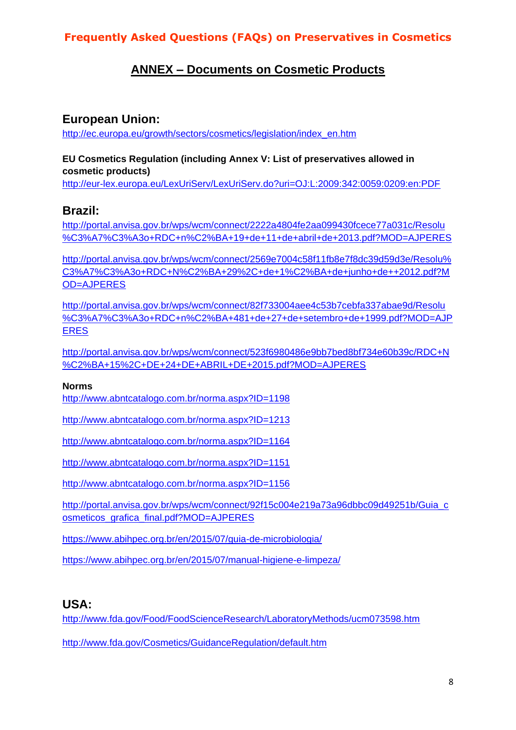## **ANNEX – Documents on Cosmetic Products**

#### **European Union:**

[http://ec.europa.eu/growth/sectors/cosmetics/legislation/index\\_en.htm](http://ec.europa.eu/growth/sectors/cosmetics/legislation/index_en.htm)

#### **EU Cosmetics Regulation (including Annex V: List of preservatives allowed in cosmetic products)**

<http://eur-lex.europa.eu/LexUriServ/LexUriServ.do?uri=OJ:L:2009:342:0059:0209:en:PDF>

#### **Brazil:**

[http://portal.anvisa.gov.br/wps/wcm/connect/2222a4804fe2aa099430fcece77a031c/Resolu](http://portal.anvisa.gov.br/wps/wcm/connect/2222a4804fe2aa099430fcece77a031c/Resolu%C3%A7%C3%A3o+RDC+n%C2%BA+19+de+11+de+abril+de+2013.pdf?MOD=AJPERES) [%C3%A7%C3%A3o+RDC+n%C2%BA+19+de+11+de+abril+de+2013.pdf?MOD=AJPERES](http://portal.anvisa.gov.br/wps/wcm/connect/2222a4804fe2aa099430fcece77a031c/Resolu%C3%A7%C3%A3o+RDC+n%C2%BA+19+de+11+de+abril+de+2013.pdf?MOD=AJPERES)

[http://portal.anvisa.gov.br/wps/wcm/connect/2569e7004c58f11fb8e7f8dc39d59d3e/Resolu%](http://portal.anvisa.gov.br/wps/wcm/connect/2569e7004c58f11fb8e7f8dc39d59d3e/Resolu%C3%A7%C3%A3o+RDC+N%C2%BA+29%2C+de+1%C2%BA+de+junho+de++2012.pdf?MOD=AJPERES) [C3%A7%C3%A3o+RDC+N%C2%BA+29%2C+de+1%C2%BA+de+junho+de++2012.pdf?M](http://portal.anvisa.gov.br/wps/wcm/connect/2569e7004c58f11fb8e7f8dc39d59d3e/Resolu%C3%A7%C3%A3o+RDC+N%C2%BA+29%2C+de+1%C2%BA+de+junho+de++2012.pdf?MOD=AJPERES) [OD=AJPERES](http://portal.anvisa.gov.br/wps/wcm/connect/2569e7004c58f11fb8e7f8dc39d59d3e/Resolu%C3%A7%C3%A3o+RDC+N%C2%BA+29%2C+de+1%C2%BA+de+junho+de++2012.pdf?MOD=AJPERES)

[http://portal.anvisa.gov.br/wps/wcm/connect/82f733004aee4c53b7cebfa337abae9d/Resolu](http://portal.anvisa.gov.br/wps/wcm/connect/82f733004aee4c53b7cebfa337abae9d/Resolu%C3%A7%C3%A3o+RDC+n%C2%BA+481+de+27+de+setembro+de+1999.pdf?MOD=AJPERES) [%C3%A7%C3%A3o+RDC+n%C2%BA+481+de+27+de+setembro+de+1999.pdf?MOD=AJP](http://portal.anvisa.gov.br/wps/wcm/connect/82f733004aee4c53b7cebfa337abae9d/Resolu%C3%A7%C3%A3o+RDC+n%C2%BA+481+de+27+de+setembro+de+1999.pdf?MOD=AJPERES) [ERES](http://portal.anvisa.gov.br/wps/wcm/connect/82f733004aee4c53b7cebfa337abae9d/Resolu%C3%A7%C3%A3o+RDC+n%C2%BA+481+de+27+de+setembro+de+1999.pdf?MOD=AJPERES)

[http://portal.anvisa.gov.br/wps/wcm/connect/523f6980486e9bb7bed8bf734e60b39c/RDC+N](http://portal.anvisa.gov.br/wps/wcm/connect/523f6980486e9bb7bed8bf734e60b39c/RDC+N%C2%BA+15%2C+DE+24+DE+ABRIL+DE+2015.pdf?MOD=AJPERES) [%C2%BA+15%2C+DE+24+DE+ABRIL+DE+2015.pdf?MOD=AJPERES](http://portal.anvisa.gov.br/wps/wcm/connect/523f6980486e9bb7bed8bf734e60b39c/RDC+N%C2%BA+15%2C+DE+24+DE+ABRIL+DE+2015.pdf?MOD=AJPERES)

#### **Norms**

<http://www.abntcatalogo.com.br/norma.aspx?ID=1198>

<http://www.abntcatalogo.com.br/norma.aspx?ID=1213>

<http://www.abntcatalogo.com.br/norma.aspx?ID=1164>

<http://www.abntcatalogo.com.br/norma.aspx?ID=1151>

<http://www.abntcatalogo.com.br/norma.aspx?ID=1156>

[http://portal.anvisa.gov.br/wps/wcm/connect/92f15c004e219a73a96dbbc09d49251b/Guia\\_c](http://portal.anvisa.gov.br/wps/wcm/connect/92f15c004e219a73a96dbbc09d49251b/Guia_cosmeticos_grafica_final.pdf?MOD=AJPERES) [osmeticos\\_grafica\\_final.pdf?MOD=AJPERES](http://portal.anvisa.gov.br/wps/wcm/connect/92f15c004e219a73a96dbbc09d49251b/Guia_cosmeticos_grafica_final.pdf?MOD=AJPERES)

<https://www.abihpec.org.br/en/2015/07/guia-de-microbiologia/>

<https://www.abihpec.org.br/en/2015/07/manual-higiene-e-limpeza/>

## **USA:**

<http://www.fda.gov/Food/FoodScienceResearch/LaboratoryMethods/ucm073598.htm>

<http://www.fda.gov/Cosmetics/GuidanceRegulation/default.htm>